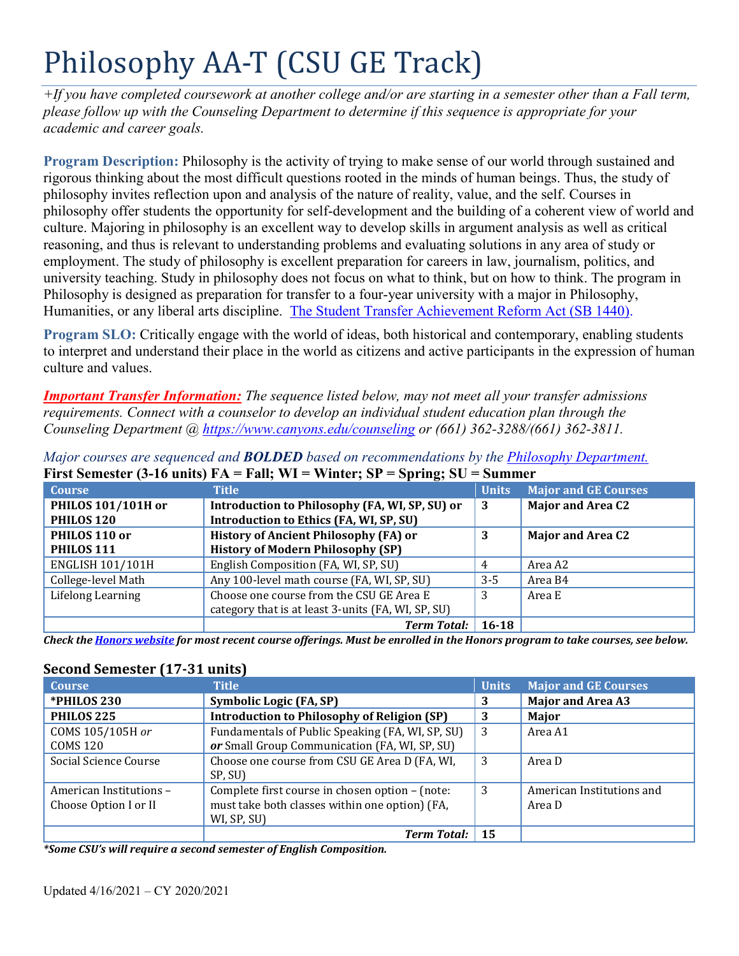# Philosophy AA-T (CSU GE Track)

*+If you have completed coursework at another college and/or are starting in a semester other than a Fall term, please follow up with the Counseling Department to determine if this sequence is appropriate for your academic and career goals.* 

 rigorous thinking about the most difficult questions rooted in the minds of human beings. Thus, the study of Humanities, or any liberal arts discipline. The Student Transfer Achievement Reform Act (SB 1440). **Program Description:** Philosophy is the activity of trying to make sense of our world through sustained and philosophy invites reflection upon and analysis of the nature of reality, value, and the self. Courses in philosophy offer students the opportunity for self-development and the building of a coherent view of world and culture. Majoring in philosophy is an excellent way to develop skills in argument analysis as well as critical reasoning, and thus is relevant to understanding problems and evaluating solutions in any area of study or employment. The study of philosophy is excellent preparation for careers in law, journalism, politics, and university teaching. Study in philosophy does not focus on what to think, but on how to think. The program in Philosophy is designed as preparation for transfer to a four-year university with a major in Philosophy,

**Program SLO:** Critically engage with the world of ideas, both historical and contemporary, enabling students to interpret and understand their place in the world as citizens and active participants in the expression of human culture and values.

*Important Transfer Information: The sequence listed below, may not meet all your transfer admissions requirements. Connect with a counselor to develop an individual student education plan through the Counseling Department @ <https://www.canyons.edu/counseling> or (661) 362-3288/(661) 362-3811.* 

| <b>Course</b>           | $\Gamma$ if st defines terms of the $\Gamma$ in $\Gamma$ is $\Gamma$ in $\Gamma$ . The state of the state of the state of the state of the state of the state of the state of the state of the state of the state of the state of the state of th<br><b>Title</b> |              |                             |
|-------------------------|-------------------------------------------------------------------------------------------------------------------------------------------------------------------------------------------------------------------------------------------------------------------|--------------|-----------------------------|
|                         |                                                                                                                                                                                                                                                                   | <b>Units</b> | <b>Major and GE Courses</b> |
| PHILOS 101/101H or      | Introduction to Philosophy (FA, WI, SP, SU) or                                                                                                                                                                                                                    | -3           | <b>Major and Area C2</b>    |
| PHILOS <sub>120</sub>   | Introduction to Ethics (FA, WI, SP, SU)                                                                                                                                                                                                                           |              |                             |
| PHILOS 110 or           | <b>History of Ancient Philosophy (FA) or</b>                                                                                                                                                                                                                      | 3            | <b>Major and Area C2</b>    |
| PHILOS 111              | <b>History of Modern Philosophy (SP)</b>                                                                                                                                                                                                                          |              |                             |
| <b>ENGLISH 101/101H</b> | English Composition (FA, WI, SP, SU)                                                                                                                                                                                                                              | 4            | Area A2                     |
| College-level Math      | Any 100-level math course (FA, WI, SP, SU)                                                                                                                                                                                                                        | $3 - 5$      | Area B4                     |
| Lifelong Learning       | Choose one course from the CSU GE Area E                                                                                                                                                                                                                          |              | Area E                      |
|                         | category that is at least 3-units (FA, WI, SP, SU)                                                                                                                                                                                                                |              |                             |
|                         | <b>Term Total:</b>                                                                                                                                                                                                                                                | $16 - 18$    |                             |

*Major courses are sequenced and BOLDED based on recommendations by the Philosophy Department.*  **First Semester (3-16 units) FA = Fall; WI = Winter; SP = Spring; SU = Summer** 

*Check the Honors website for most recent course offerings. Must be enrolled in the Honors program to take courses, see below.* 

## **Second Semester (17-31 units)**

| <b>Course</b>                                    | <b>Title</b>                                                                                                     | <b>Units</b> | <b>Major and GE Courses</b>         |
|--------------------------------------------------|------------------------------------------------------------------------------------------------------------------|--------------|-------------------------------------|
| *PHILOS 230                                      | Symbolic Logic (FA, SP)                                                                                          | 3            | <b>Major and Area A3</b>            |
| PHILOS <sub>225</sub>                            | <b>Introduction to Philosophy of Religion (SP)</b>                                                               | 3            | Major                               |
| COMS 105/105H or<br><b>COMS 120</b>              | Fundamentals of Public Speaking (FA, WI, SP, SU)<br>or Small Group Communication (FA, WI, SP, SU)                | 3            | Area A1                             |
| Social Science Course                            | Choose one course from CSU GE Area D (FA, WI,<br>SP, SU)                                                         | 3            | Area D                              |
| American Institutions -<br>Choose Option I or II | Complete first course in chosen option - (note:<br>must take both classes within one option) (FA,<br>WI, SP, SU) | 3            | American Institutions and<br>Area D |
|                                                  | <b>Term Total:</b>                                                                                               | -15          |                                     |

*\*Some CSU's will require a second semester of English Composition.*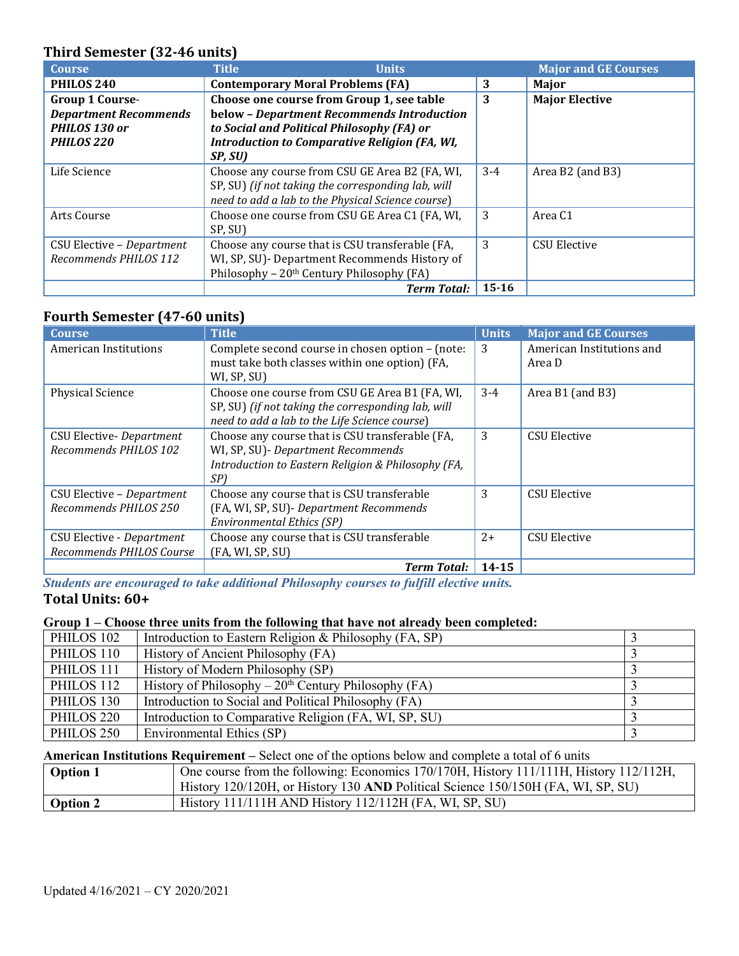#### **Third Semester (32-46 units)**

| <b>Course</b>                                                                                    | <b>Title</b><br><b>Units</b>                                                                                                                                                                     |           | <b>Major and GE Courses</b> |
|--------------------------------------------------------------------------------------------------|--------------------------------------------------------------------------------------------------------------------------------------------------------------------------------------------------|-----------|-----------------------------|
| PHILOS <sub>240</sub>                                                                            | <b>Contemporary Moral Problems (FA)</b>                                                                                                                                                          | 3         | Major                       |
| <b>Group 1 Course-</b><br><b>Department Recommends</b><br>PHILOS 130 or<br>PHILOS <sub>220</sub> | Choose one course from Group 1, see table<br>below - Department Recommends Introduction<br>to Social and Political Philosophy (FA) or<br>Introduction to Comparative Religion (FA, WI,<br>SP, SU | 3         | <b>Major Elective</b>       |
| Life Science                                                                                     | Choose any course from CSU GE Area B2 (FA, WI,<br>SP, SU) (if not taking the corresponding lab, will<br>need to add a lab to the Physical Science course)                                        | $3 - 4$   | Area B2 (and B3)            |
| Arts Course                                                                                      | Choose one course from CSU GE Area C1 (FA, WI,<br>SP, SU)                                                                                                                                        | 3         | Area C1                     |
| CSU Elective - Department<br>Recommends PHILOS 112                                               | Choose any course that is CSU transferable (FA,<br>WI, SP, SU)- Department Recommends History of<br>Philosophy - 20 <sup>th</sup> Century Philosophy (FA)                                        | 3         | <b>CSU Elective</b>         |
|                                                                                                  | <b>Term Total:</b>                                                                                                                                                                               | $15 - 16$ |                             |

## **Fourth Semester (47-60 units)**

| <b>Course</b>                    | <b>Title</b>                                                  | <b>Units</b> | <b>Major and GE Courses</b> |
|----------------------------------|---------------------------------------------------------------|--------------|-----------------------------|
| American Institutions            | Complete second course in chosen option - (note:              | 3            | American Institutions and   |
|                                  | must take both classes within one option) (FA,<br>WI, SP, SU) |              | Area D                      |
|                                  |                                                               |              |                             |
| <b>Physical Science</b>          | Choose one course from CSU GE Area B1 (FA, WI,                | $3-4$        | Area B1 (and B3)            |
|                                  | SP, SU) (if not taking the corresponding lab, will            |              |                             |
|                                  | need to add a lab to the Life Science course)                 |              |                             |
| <b>CSU Elective- Department</b>  | Choose any course that is CSU transferable (FA,               | 3            | CSU Elective                |
| Recommends PHILOS 102            | WI, SP, SU) - Department Recommends                           |              |                             |
|                                  | Introduction to Eastern Religion & Philosophy (FA,            |              |                             |
|                                  | SP)                                                           |              |                             |
| CSU Elective - Department        | Choose any course that is CSU transferable                    | 3            | <b>CSU Elective</b>         |
| Recommends PHILOS 250            | (FA, WI, SP, SU)- Department Recommends                       |              |                             |
|                                  | <b>Environmental Ethics (SP)</b>                              |              |                             |
| <b>CSU Elective - Department</b> | Choose any course that is CSU transferable                    | $2+$         | <b>CSU Elective</b>         |
| Recommends PHILOS Course         | (FA, WI, SP, SU)                                              |              |                             |
|                                  | <b>Term Total:</b>                                            | $14 - 15$    |                             |

 *Students are encouraged to take additional Philosophy courses to fulfill elective units.*  **Total Units: 60+** 

#### **Group 1 – Choose three units from the following that have not already been completed:**

| PHILOS 102            | Introduction to Eastern Religion & Philosophy (FA, SP) |  |
|-----------------------|--------------------------------------------------------|--|
| PHILOS 110            | History of Ancient Philosophy (FA)                     |  |
| PHILOS 111            | History of Modern Philosophy (SP)                      |  |
| PHILOS 112            | History of Philosophy – $20th$ Century Philosophy (FA) |  |
| PHILOS 130            | Introduction to Social and Political Philosophy (FA)   |  |
| PHILOS <sub>220</sub> | Introduction to Comparative Religion (FA, WI, SP, SU)  |  |
| PHILOS <sub>250</sub> | Environmental Ethics (SP)                              |  |

#### **American Institutions Requirement –** Select one of the options below and complete a total of 6 units

| <b>Option 1</b> | One course from the following: Economics 170/170H, History 111/111H, History 112/112H, |
|-----------------|----------------------------------------------------------------------------------------|
|                 | History 120/120H, or History 130 AND Political Science 150/150H (FA, WI, SP, SU)       |
| <b>Option 2</b> | History $111/111H$ AND History $112/112H$ (FA, WI, SP, SU)                             |